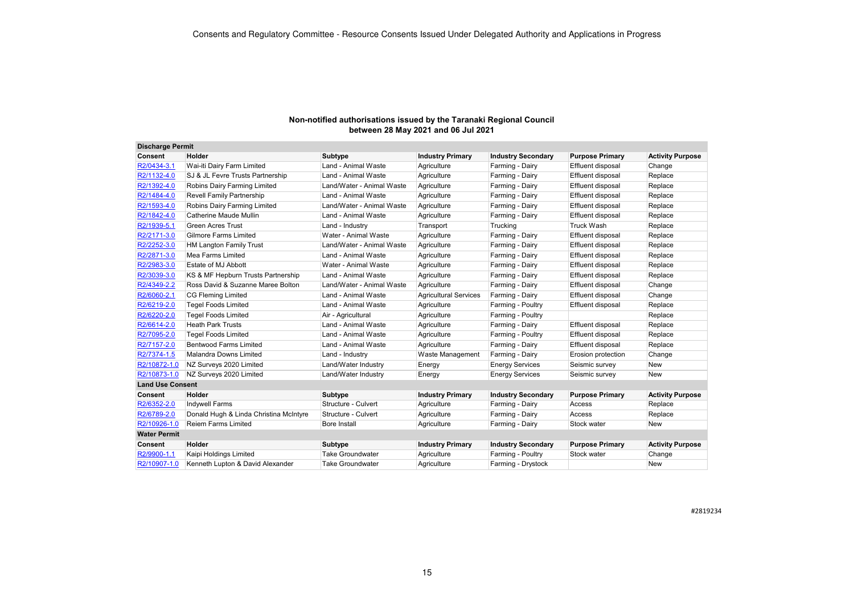| <b>Discharge Permit</b> |                                        |                           |                              |                           |                          |                         |
|-------------------------|----------------------------------------|---------------------------|------------------------------|---------------------------|--------------------------|-------------------------|
| <b>Consent</b>          | Holder                                 | Subtype                   | <b>Industry Primary</b>      | <b>Industry Secondary</b> | <b>Purpose Primary</b>   | <b>Activity Purpose</b> |
| R2/0434-3.1             | Wai-iti Dairy Farm Limited             | Land - Animal Waste       | Agriculture                  | Farming - Dairy           | Effluent disposal        | Change                  |
| R2/1132-4.0             | SJ & JL Fevre Trusts Partnership       | Land - Animal Waste       | Agriculture                  | Farming - Dairy           | Effluent disposal        | Replace                 |
| R2/1392-4.0             | Robins Dairy Farming Limited           | Land/Water - Animal Waste | Agriculture                  | Farming - Dairy           | Effluent disposal        | Replace                 |
| R2/1484-4.0             | <b>Revell Family Partnership</b>       | Land - Animal Waste       | Agriculture                  | Farming - Dairy           | Effluent disposal        | Replace                 |
| R2/1593-4.0             | Robins Dairy Farming Limited           | Land/Water - Animal Waste | Agriculture                  | Farming - Dairy           | Effluent disposal        | Replace                 |
| R2/1842-4.0             | Catherine Maude Mullin                 | Land - Animal Waste       | Agriculture                  | Farming - Dairy           | <b>Effluent disposal</b> | Replace                 |
| R2/1939-5.1             | <b>Green Acres Trust</b>               | Land - Industry           | Transport                    | Trucking                  | <b>Truck Wash</b>        | Replace                 |
| R2/2171-3.0             | <b>Gilmore Farms Limited</b>           | Water - Animal Waste      | Agriculture                  | Farming - Dairy           | Effluent disposal        | Replace                 |
| R2/2252-3.0             | <b>HM Langton Family Trust</b>         | Land/Water - Animal Waste | Agriculture                  | Farming - Dairy           | Effluent disposal        | Replace                 |
| R2/2871-3.0             | Mea Farms Limited                      | Land - Animal Waste       | Agriculture                  | Farming - Dairy           | Effluent disposal        | Replace                 |
| R2/2983-3.0             | Estate of MJ Abbott                    | Water - Animal Waste      | Agriculture                  | Farming - Dairy           | Effluent disposal        | Replace                 |
| R2/3039-3.0             | KS & MF Hepburn Trusts Partnership     | Land - Animal Waste       | Agriculture                  | Farming - Dairy           | Effluent disposal        | Replace                 |
| R2/4349-2.2             | Ross David & Suzanne Maree Bolton      | Land/Water - Animal Waste | Agriculture                  | Farming - Dairy           | Effluent disposal        | Change                  |
| R2/6060-2.1             | <b>CG Fleming Limited</b>              | Land - Animal Waste       | <b>Agricultural Services</b> | Farming - Dairy           | Effluent disposal        | Change                  |
| R2/6219-2.0             | <b>Tegel Foods Limited</b>             | Land - Animal Waste       | Agriculture                  | Farming - Poultry         | Effluent disposal        | Replace                 |
| R2/6220-2.0             | <b>Tegel Foods Limited</b>             | Air - Agricultural        | Agriculture                  | Farming - Poultry         |                          | Replace                 |
| R2/6614-2.0             | <b>Heath Park Trusts</b>               | Land - Animal Waste       | Agriculture                  | Farming - Dairy           | <b>Effluent disposal</b> | Replace                 |
| R2/7095-2.0             | <b>Tegel Foods Limited</b>             | Land - Animal Waste       | Agriculture                  | Farming - Poultry         | Effluent disposal        | Replace                 |
| R2/7157-2.0             | Bentwood Farms Limited                 | Land - Animal Waste       | Agriculture                  | Farming - Dairy           | <b>Effluent disposal</b> | Replace                 |
| R2/7374-1.5             | Malandra Downs Limited                 | Land - Industry           | <b>Waste Management</b>      | Farming - Dairy           | Erosion protection       | Change                  |
| R2/10872-1.0            | NZ Surveys 2020 Limited                | Land/Water Industry       | Energy                       | <b>Energy Services</b>    | Seismic survey           | <b>New</b>              |
| R2/10873-1.0            | NZ Surveys 2020 Limited                | Land/Water Industry       | Energy                       | <b>Energy Services</b>    | Seismic survey           | New                     |
| <b>Land Use Consent</b> |                                        |                           |                              |                           |                          |                         |
| Consent                 | <b>Holder</b>                          | Subtype                   | <b>Industry Primary</b>      | <b>Industry Secondary</b> | <b>Purpose Primary</b>   | <b>Activity Purpose</b> |
| R2/6352-2.0             | <b>Indywell Farms</b>                  | Structure - Culvert       | Agriculture                  | Farming - Dairy           | Access                   | Replace                 |
| R2/6789-2.0             | Donald Hugh & Linda Christina McIntyre | Structure - Culvert       | Agriculture                  | Farming - Dairy           | Access                   | Replace                 |
| R2/10926-1.0            | <b>Reiem Farms Limited</b>             | Bore Install              | Agriculture                  | Farming - Dairy           | Stock water              | <b>New</b>              |
| <b>Water Permit</b>     |                                        |                           |                              |                           |                          |                         |
| <b>Consent</b>          | <b>Holder</b>                          | Subtype                   | <b>Industry Primary</b>      | <b>Industry Secondary</b> | <b>Purpose Primary</b>   | <b>Activity Purpose</b> |
| R2/9900-1.1             | Kaipi Holdings Limited                 | <b>Take Groundwater</b>   | Agriculture                  | Farming - Poultry         | Stock water              | Change                  |
| R2/10907-1.0            | Kenneth Lupton & David Alexander       | <b>Take Groundwater</b>   | Agriculture                  | Farming - Drystock        |                          | New                     |

#2819234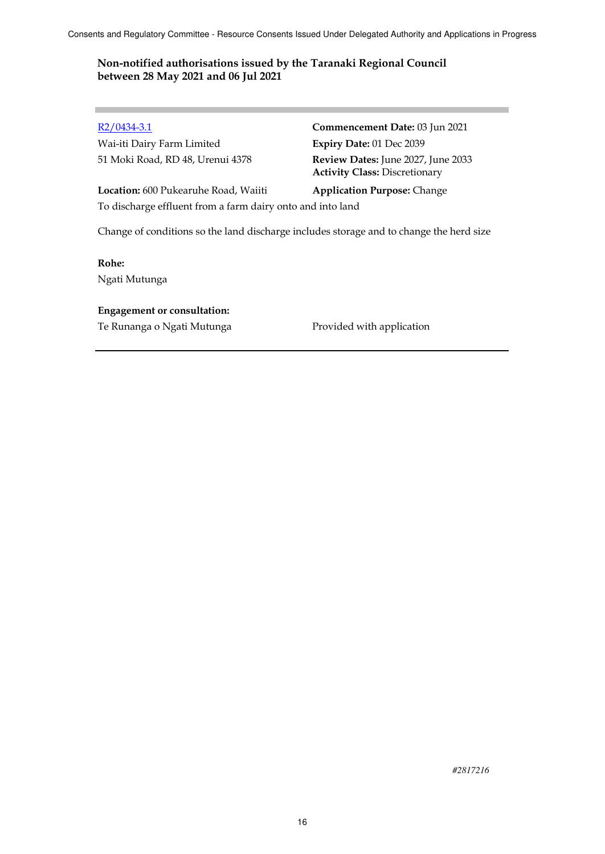Wai-iti Dairy Farm Limited **Expiry Date:** 01 Dec 2039

R2/0434-3.1 **Commencement Date:** 03 Jun 2021 51 Moki Road, RD 48, Urenui 4378 **Review Dates:** June 2027, June 2033 **Activity Class:** Discretionary

**Location:** 600 Pukearuhe Road, Waiiti **Application Purpose:** Change To discharge effluent from a farm dairy onto and into land

Change of conditions so the land discharge includes storage and to change the herd size

**Rohe:** Ngati Mutunga

#### **Engagement or consultation:**

Te Runanga o Ngati Mutunga Provided with application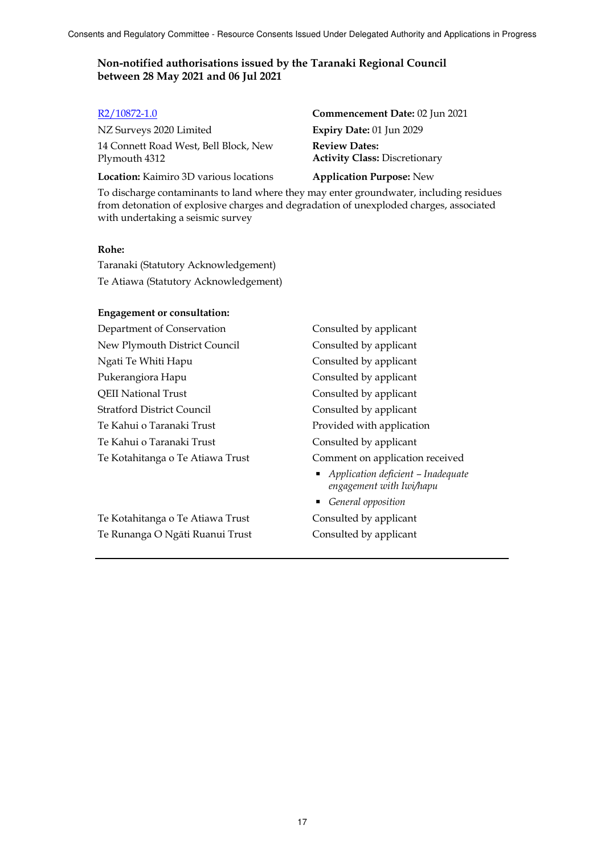NZ Surveys 2020 Limited **Expiry Date:** 01 Jun 2029 14 Connett Road West, Bell Block, New Plymouth 4312

**Location:** Kaimiro 3D various locations **Application Purpose:** New

R2/10872-1.0 **Commencement Date:** 02 Jun 2021 **Review Dates: Activity Class:** Discretionary

To discharge contaminants to land where they may enter groundwater, including residues from detonation of explosive charges and degradation of unexploded charges, associated with undertaking a seismic survey

#### **Rohe:**

Taranaki (Statutory Acknowledgement) Te Atiawa (Statutory Acknowledgement)

#### **Engagement or consultation:**

Department of Conservation Consulted by applicant New Plymouth District Council Consulted by applicant Ngati Te Whiti Hapu Consulted by applicant Pukerangiora Hapu Consulted by applicant QEII National Trust Consulted by applicant Stratford District Council Consulted by applicant Te Kahui o Taranaki Trust Provided with application Te Kahui o Taranaki Trust Consulted by applicant Te Kotahitanga o Te Atiawa Trust Comment on application received

Te Kotahitanga o Te Atiawa Trust Consulted by applicant Te Runanga O Ngāti Ruanui Trust Consulted by applicant

 *Application deficient – Inadequate engagement with Iwi/hapu* 

*General opposition*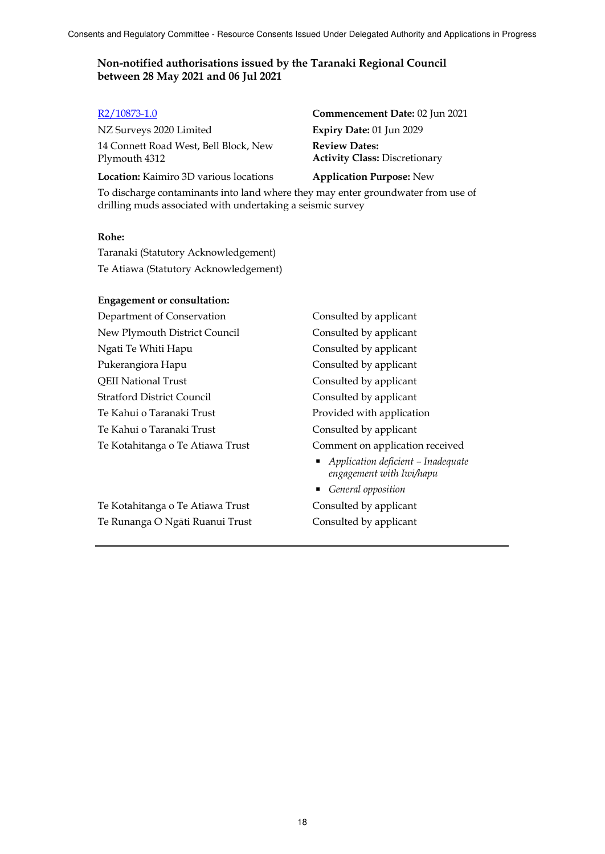NZ Surveys 2020 Limited **Expiry Date:** 01 Jun 2029 14 Connett Road West, Bell Block, New Plymouth 4312

**Location:** Kaimiro 3D various locations **Application Purpose:** New

R2/10873-1.0 **Commencement Date:** 02 Jun 2021 **Review Dates: Activity Class:** Discretionary

To discharge contaminants into land where they may enter groundwater from use of drilling muds associated with undertaking a seismic survey

#### **Rohe:**

Taranaki (Statutory Acknowledgement) Te Atiawa (Statutory Acknowledgement)

#### **Engagement or consultation:**

Department of Conservation Consulted by applicant New Plymouth District Council Consulted by applicant Ngati Te Whiti Hapu Consulted by applicant Pukerangiora Hapu Consulted by applicant QEII National Trust Consulted by applicant Stratford District Council Consulted by applicant Te Kahui o Taranaki Trust **Provided with application** Te Kahui o Taranaki Trust Consulted by applicant Te Kotahitanga o Te Atiawa Trust Comment on application received

Te Kotahitanga o Te Atiawa Trust Consulted by applicant Te Runanga O Ngāti Ruanui Trust Consulted by applicant

 *Application deficient – Inadequate engagement with Iwi/hapu* 

*General opposition*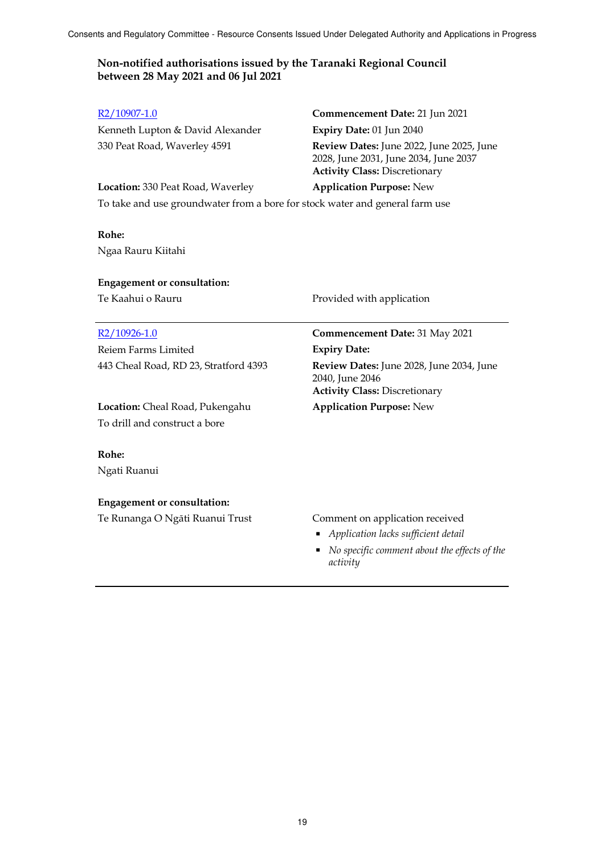#### **Non-notified authorisations issued by the Taranaki Regional Council between 28 May 2021 and 06 Jul 2021**

# Kenneth Lupton & David Alexander **Expiry Date:** 01 Jun 2040

### R2/10907-1.0 **Commencement Date:** 21 Jun 2021 330 Peat Road, Waverley 4591 **Review Dates:** June 2022, June 2025, June 2028, June 2031, June 2034, June 2037 **Activity Class:** Discretionary

**Location:** 330 Peat Road, Waverley **Application Purpose:** New To take and use groundwater from a bore for stock water and general farm use

### **Rohe:** Ngaa Rauru Kiitahi

### **Engagement or consultation:**

Reiem Farms Limited **Expiry Date:**

**Location:** Cheal Road, Pukengahu **Application Purpose:** New To drill and construct a bore

### **Rohe:**

Ngati Ruanui

### **Engagement or consultation:**

Te Runanga O Ngāti Ruanui Trust Comment on application received

Te Kaahui o Rauru **Provided with application** 

## R2/10926-1.0 **Commencement Date:** 31 May 2021

443 Cheal Road, RD 23, Stratford 4393 **Review Dates:** June 2028, June 2034, June 2040, June 2046 **Activity Class:** Discretionary

- *Application lacks sufficient detail*
- *No specific comment about the effects of the activity*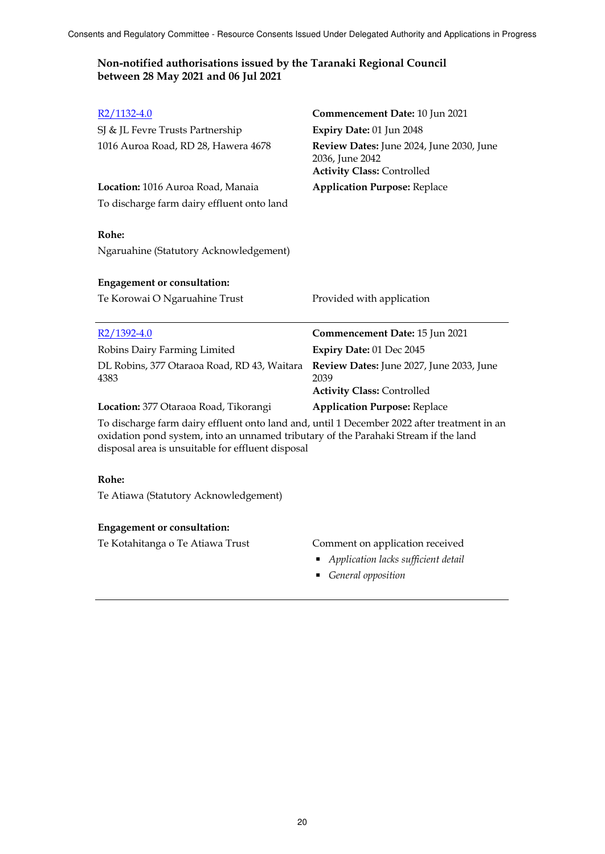| R <sub>2</sub> /1132-4.0                                                                                                                                                                                                                | Commencement Date: 10 Jun 2021                                                                   |
|-----------------------------------------------------------------------------------------------------------------------------------------------------------------------------------------------------------------------------------------|--------------------------------------------------------------------------------------------------|
| SJ & JL Fevre Trusts Partnership                                                                                                                                                                                                        | Expiry Date: 01 Jun 2048                                                                         |
| 1016 Auroa Road, RD 28, Hawera 4678                                                                                                                                                                                                     | Review Dates: June 2024, June 2030, June<br>2036, June 2042<br><b>Activity Class: Controlled</b> |
| Location: 1016 Auroa Road, Manaia                                                                                                                                                                                                       | <b>Application Purpose: Replace</b>                                                              |
| To discharge farm dairy effluent onto land                                                                                                                                                                                              |                                                                                                  |
| Rohe:                                                                                                                                                                                                                                   |                                                                                                  |
| Ngaruahine (Statutory Acknowledgement)                                                                                                                                                                                                  |                                                                                                  |
| <b>Engagement or consultation:</b>                                                                                                                                                                                                      |                                                                                                  |
| Te Korowai O Ngaruahine Trust                                                                                                                                                                                                           | Provided with application                                                                        |
|                                                                                                                                                                                                                                         |                                                                                                  |
| $R2/1392-4.0$                                                                                                                                                                                                                           | Commencement Date: 15 Jun 2021                                                                   |
| Robins Dairy Farming Limited                                                                                                                                                                                                            | Expiry Date: 01 Dec 2045                                                                         |
| DL Robins, 377 Otaraoa Road, RD 43, Waitara<br>4383                                                                                                                                                                                     | Review Dates: June 2027, June 2033, June<br>2039                                                 |
|                                                                                                                                                                                                                                         | <b>Activity Class: Controlled</b>                                                                |
| Location: 377 Otaraoa Road, Tikorangi                                                                                                                                                                                                   | <b>Application Purpose: Replace</b>                                                              |
| To discharge farm dairy effluent onto land and, until 1 December 2022 after treatment in an<br>oxidation pond system, into an unnamed tributary of the Parahaki Stream if the land<br>disposal area is unsuitable for effluent disposal |                                                                                                  |
| Rohe:                                                                                                                                                                                                                                   |                                                                                                  |
| Te Atiawa (Statutory Acknowledgement)                                                                                                                                                                                                   |                                                                                                  |

### Te Kotahitanga o Te Atiawa Trust Comment on application received

- *Application lacks sufficient detail*
- *General opposition*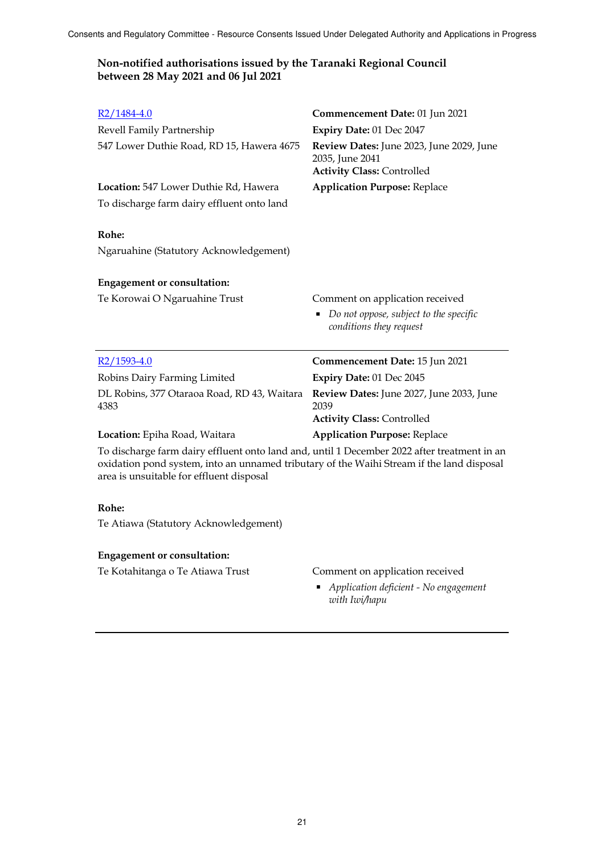### **Non-notified authorisations issued by the Taranaki Regional Council between 28 May 2021 and 06 Jul 2021**

| $R2/1484-4.0$                                                                                                                                                                            | Commencement Date: 01 Jun 2021                                                                   |  |
|------------------------------------------------------------------------------------------------------------------------------------------------------------------------------------------|--------------------------------------------------------------------------------------------------|--|
| Revell Family Partnership                                                                                                                                                                | Expiry Date: 01 Dec 2047                                                                         |  |
| 547 Lower Duthie Road, RD 15, Hawera 4675                                                                                                                                                | Review Dates: June 2023, June 2029, June<br>2035, June 2041<br><b>Activity Class: Controlled</b> |  |
| Location: 547 Lower Duthie Rd, Hawera                                                                                                                                                    | <b>Application Purpose: Replace</b>                                                              |  |
| To discharge farm dairy effluent onto land                                                                                                                                               |                                                                                                  |  |
| Rohe:                                                                                                                                                                                    |                                                                                                  |  |
| Ngaruahine (Statutory Acknowledgement)                                                                                                                                                   |                                                                                                  |  |
| <b>Engagement or consultation:</b>                                                                                                                                                       |                                                                                                  |  |
| Te Korowai O Ngaruahine Trust                                                                                                                                                            | Comment on application received                                                                  |  |
|                                                                                                                                                                                          | Do not oppose, subject to the specific<br>п<br>conditions they request                           |  |
| $R2/1593-4.0$                                                                                                                                                                            | Commencement Date: 15 Jun 2021                                                                   |  |
| Robins Dairy Farming Limited                                                                                                                                                             | Expiry Date: 01 Dec 2045                                                                         |  |
| DL Robins, 377 Otaraoa Road, RD 43, Waitara<br>4383                                                                                                                                      | Review Dates: June 2027, June 2033, June<br>2039                                                 |  |
|                                                                                                                                                                                          | <b>Activity Class: Controlled</b>                                                                |  |
| Location: Epiha Road, Waitara                                                                                                                                                            | <b>Application Purpose: Replace</b>                                                              |  |
| To discharge farm dairy effluent onto land and, until 1 December 2022 after treatment in an<br>oxidation pond system, into an unnamed tributary of the Waihi Stream if the land disposal |                                                                                                  |  |

area is unsuitable for effluent disposal

#### **Rohe:**

Te Atiawa (Statutory Acknowledgement)

#### **Engagement or consultation:**

#### Te Kotahitanga o Te Atiawa Trust Comment on application received

 *Application deficient - No engagement with Iwi/hapu*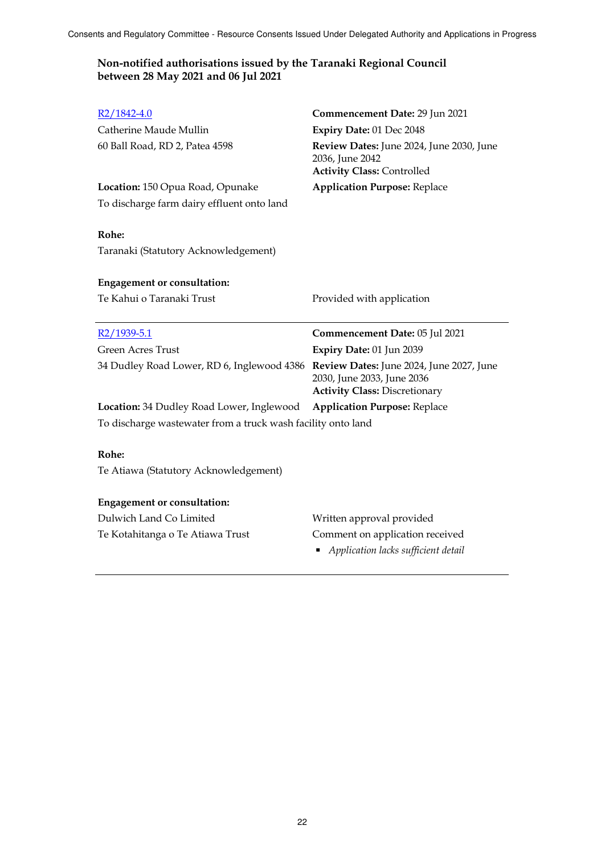### **Non-notified authorisations issued by the Taranaki Regional Council between 28 May 2021 and 06 Jul 2021**

| $R2/1842 - 4.0$<br>Catherine Maude Mullin<br>60 Ball Road, RD 2, Patea 4598         | Commencement Date: 29 Jun 2021<br>Expiry Date: 01 Dec 2048<br>Review Dates: June 2024, June 2030, June<br>2036, June 2042 |
|-------------------------------------------------------------------------------------|---------------------------------------------------------------------------------------------------------------------------|
| Location: 150 Opua Road, Opunake<br>To discharge farm dairy effluent onto land      | <b>Activity Class: Controlled</b><br><b>Application Purpose: Replace</b>                                                  |
| Rohe:                                                                               |                                                                                                                           |
| Taranaki (Statutory Acknowledgement)                                                |                                                                                                                           |
| <b>Engagement or consultation:</b>                                                  |                                                                                                                           |
| Te Kahui o Taranaki Trust                                                           | Provided with application                                                                                                 |
| $R2/1939 - 5.1$                                                                     | Commencement Date: 05 Jul 2021                                                                                            |
| <b>Green Acres Trust</b>                                                            | Expiry Date: 01 Jun 2039                                                                                                  |
| 34 Dudley Road Lower, RD 6, Inglewood 4386 Review Dates: June 2024, June 2027, June | 2030, June 2033, June 2036<br><b>Activity Class: Discretionary</b>                                                        |
| <b>Location:</b> 34 Dudley Road Lower, Inglewood                                    | <b>Application Purpose: Replace</b>                                                                                       |
| To discharge wastewater from a truck wash facility onto land                        |                                                                                                                           |
| Rohe:<br>Te Atiawa (Statutory Acknowledgement)                                      |                                                                                                                           |
| <b>Engagement or consultation:</b>                                                  |                                                                                                                           |
| Dulwich Land Co Limited                                                             | Written approval provided                                                                                                 |
|                                                                                     |                                                                                                                           |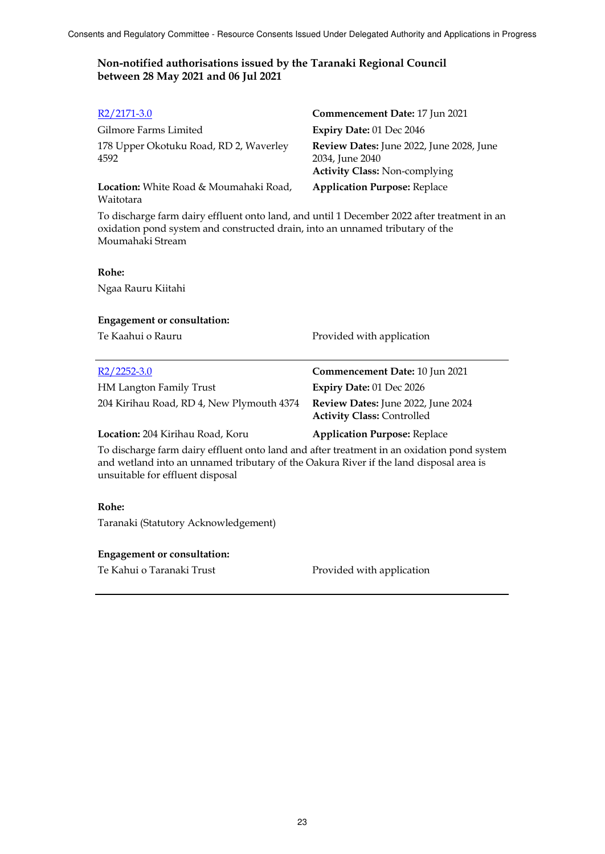| R2/2171-3.0                                                                                                                                                                                      | Commencement Date: 17 Jun 2021                                                                             |  |
|--------------------------------------------------------------------------------------------------------------------------------------------------------------------------------------------------|------------------------------------------------------------------------------------------------------------|--|
| Gilmore Farms Limited                                                                                                                                                                            | Expiry Date: 01 Dec 2046                                                                                   |  |
| 178 Upper Okotuku Road, RD 2, Waverley<br>4592                                                                                                                                                   | <b>Review Dates:</b> June 2022, June 2028, June<br>2034, June 2040<br><b>Activity Class: Non-complying</b> |  |
| <b>Location:</b> White Road & Moumahaki Road,<br>Waitotara                                                                                                                                       | <b>Application Purpose: Replace</b>                                                                        |  |
| To discharge farm dairy effluent onto land, and until 1 December 2022 after treatment in an<br>oxidation pond system and constructed drain, into an unnamed tributary of the<br>Moumahaki Stream |                                                                                                            |  |
| Rohe:                                                                                                                                                                                            |                                                                                                            |  |

Ngaa Rauru Kiitahi

#### **Engagement or consultation:**

Te Kaahui o Rauru **Provided with application** 

| R2/2252-3.0                               | Commencement Date: 10 Jun 2021                                                 |
|-------------------------------------------|--------------------------------------------------------------------------------|
| <b>HM Langton Family Trust</b>            | Expiry Date: $01$ Dec $2026$                                                   |
| 204 Kirihau Road, RD 4, New Plymouth 4374 | <b>Review Dates:</b> June 2022, June 2024<br><b>Activity Class: Controlled</b> |

#### **Location:** 204 Kirihau Road, Koru **Application Purpose:** Replace

To discharge farm dairy effluent onto land and after treatment in an oxidation pond system and wetland into an unnamed tributary of the Oakura River if the land disposal area is unsuitable for effluent disposal

#### **Rohe:**

Taranaki (Statutory Acknowledgement)

#### **Engagement or consultation:**

Te Kahui o Taranaki Trust **Provided with application**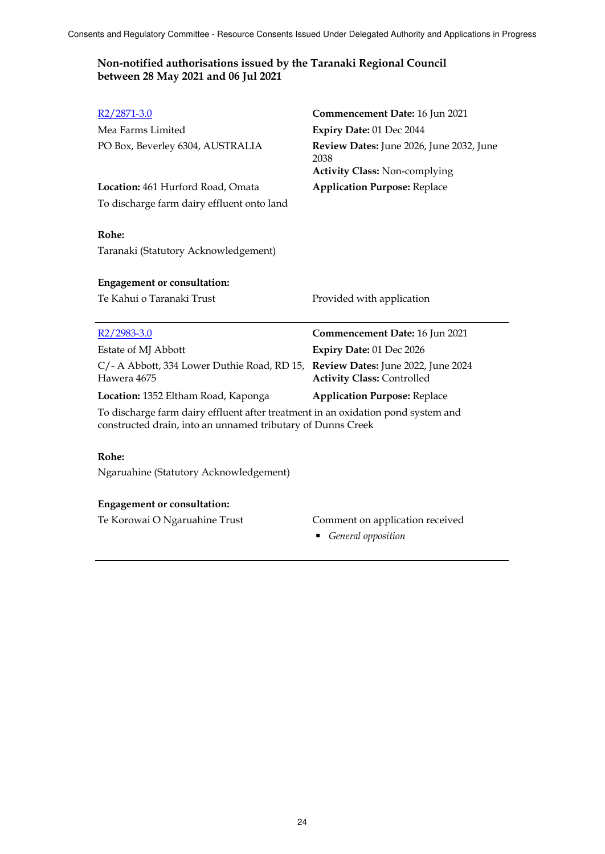### **Non-notified authorisations issued by the Taranaki Regional Council between 28 May 2021 and 06 Jul 2021**

| R2/2871-3.0                                                                                                                                     | Commencement Date: 16 Jun 2021                                                           |  |
|-------------------------------------------------------------------------------------------------------------------------------------------------|------------------------------------------------------------------------------------------|--|
| Mea Farms Limited                                                                                                                               | Expiry Date: 01 Dec 2044                                                                 |  |
| PO Box, Beverley 6304, AUSTRALIA                                                                                                                | Review Dates: June 2026, June 2032, June<br>2038<br><b>Activity Class: Non-complying</b> |  |
| Location: 461 Hurford Road, Omata                                                                                                               | <b>Application Purpose: Replace</b>                                                      |  |
| To discharge farm dairy effluent onto land                                                                                                      |                                                                                          |  |
| Rohe:<br>Taranaki (Statutory Acknowledgement)                                                                                                   |                                                                                          |  |
| <b>Engagement or consultation:</b>                                                                                                              |                                                                                          |  |
| Te Kahui o Taranaki Trust                                                                                                                       | Provided with application                                                                |  |
| $R2/2983-3.0$                                                                                                                                   | Commencement Date: 16 Jun 2021                                                           |  |
| Estate of MJ Abbott                                                                                                                             | Expiry Date: 01 Dec 2026                                                                 |  |
| C/- A Abbott, 334 Lower Duthie Road, RD 15,<br>Hawera 4675                                                                                      | Review Dates: June 2022, June 2024<br><b>Activity Class: Controlled</b>                  |  |
| Location: 1352 Eltham Road, Kaponga                                                                                                             | <b>Application Purpose: Replace</b>                                                      |  |
| To discharge farm dairy effluent after treatment in an oxidation pond system and<br>constructed drain, into an unnamed tributary of Dunns Creek |                                                                                          |  |
|                                                                                                                                                 |                                                                                          |  |
| Rohe:                                                                                                                                           |                                                                                          |  |
| Ngaruahine (Statutory Acknowledgement)                                                                                                          |                                                                                          |  |

Te Korowai O Ngaruahine Trust Comment on application received

*General opposition*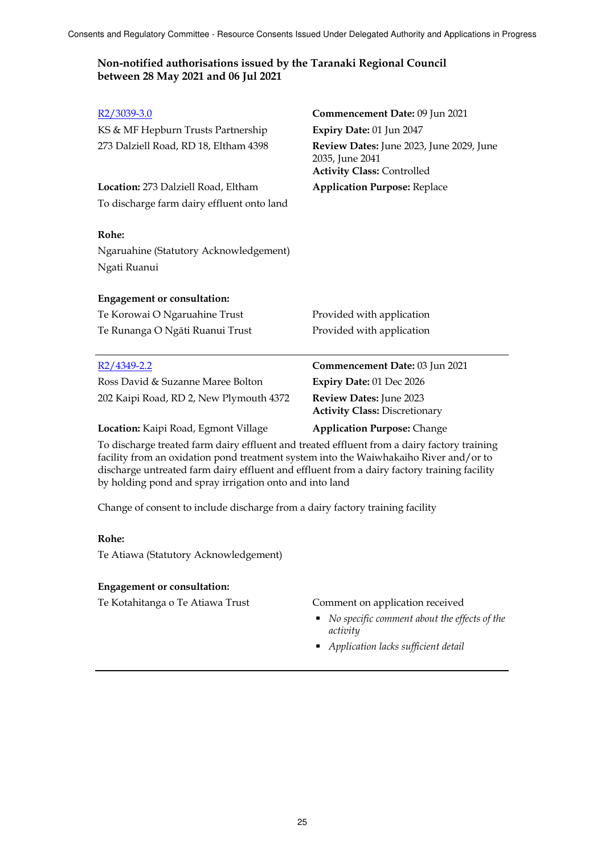#### **Non-notified authorisations issued by the Taranaki Regional Council between 28 May 2021 and 06 Jul 2021**

| $R2/3039-3.0$                                                                                                                                                                        | Commencement Date: 09 Jun 2021                                                                   |
|--------------------------------------------------------------------------------------------------------------------------------------------------------------------------------------|--------------------------------------------------------------------------------------------------|
| KS & MF Hepburn Trusts Partnership                                                                                                                                                   | Expiry Date: 01 Jun 2047                                                                         |
| 273 Dalziell Road, RD 18, Eltham 4398                                                                                                                                                | Review Dates: June 2023, June 2029, June<br>2035, June 2041<br><b>Activity Class: Controlled</b> |
| Location: 273 Dalziell Road, Eltham                                                                                                                                                  | <b>Application Purpose: Replace</b>                                                              |
| To discharge farm dairy effluent onto land                                                                                                                                           |                                                                                                  |
| Rohe:                                                                                                                                                                                |                                                                                                  |
| Ngaruahine (Statutory Acknowledgement)                                                                                                                                               |                                                                                                  |
| Ngati Ruanui                                                                                                                                                                         |                                                                                                  |
| <b>Engagement or consultation:</b>                                                                                                                                                   |                                                                                                  |
| Te Korowai O Ngaruahine Trust                                                                                                                                                        | Provided with application                                                                        |
| Te Runanga O Ngāti Ruanui Trust                                                                                                                                                      | Provided with application                                                                        |
| $R2/4349 - 2.2$                                                                                                                                                                      | Commencement Date: 03 Jun 2021                                                                   |
| Ross David & Suzanne Maree Bolton                                                                                                                                                    | Expiry Date: 01 Dec 2026                                                                         |
| 202 Kaipi Road, RD 2, New Plymouth 4372                                                                                                                                              | Review Dates: June 2023<br><b>Activity Class: Discretionary</b>                                  |
| Location: Kaipi Road, Egmont Village                                                                                                                                                 | <b>Application Purpose: Change</b>                                                               |
| To discharge treated farm dairy effluent and treated effluent from a dairy factory training<br>facility from an oxidation pond treatment system into the Waiwhakaiho River and/or to |                                                                                                  |

facility from an oxidation pond treatment system into the Waiwhakaiho River and/or to discharge untreated farm dairy effluent and effluent from a dairy factory training facility by holding pond and spray irrigation onto and into land

Change of consent to include discharge from a dairy factory training facility

#### **Rohe:**

Te Atiawa (Statutory Acknowledgement)

#### **Engagement or consultation:**

Te Kotahitanga o Te Atiawa Trust Comment on application received

- *No specific comment about the effects of the activity*
- *Application lacks sufficient detail*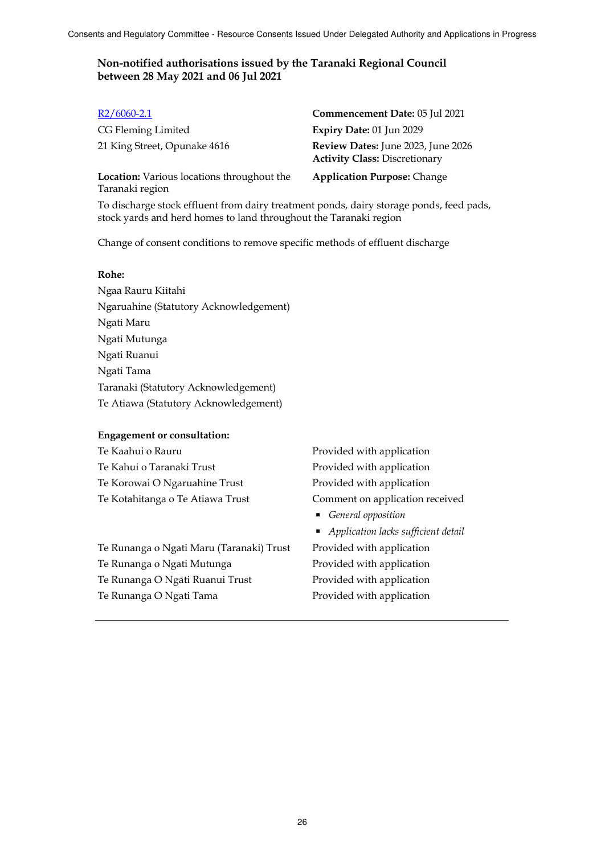| $R2/6060-2.1$                                                        | Commencement Date: 05 Jul 2021                                             |
|----------------------------------------------------------------------|----------------------------------------------------------------------------|
| CG Fleming Limited                                                   | Expiry Date: 01 Jun 2029                                                   |
| 21 King Street, Opunake 4616                                         | Review Dates: June 2023, June 2026<br><b>Activity Class: Discretionary</b> |
| <b>Location:</b> Various locations throughout the<br>Taranaki region | <b>Application Purpose: Change</b>                                         |

To discharge stock effluent from dairy treatment ponds, dairy storage ponds, feed pads, stock yards and herd homes to land throughout the Taranaki region

Change of consent conditions to remove specific methods of effluent discharge

#### **Rohe:**

Ngaa Rauru Kiitahi Ngaruahine (Statutory Acknowledgement) Ngati Maru Ngati Mutunga Ngati Ruanui Ngati Tama Taranaki (Statutory Acknowledgement) Te Atiawa (Statutory Acknowledgement)

#### **Engagement or consultation:**

Te Kaahui o Rauru **Provided with application** Te Kahui o Taranaki Trust **Provided with application** Te Korowai O Ngaruahine Trust Provided with application

Te Runanga o Ngati Maru (Taranaki) Trust Provided with application Te Runanga o Ngati Mutunga **Provided with application** Te Runanga O Ngāti Ruanui Trust Provided with application Te Runanga O Ngati Tama Provided with application

Te Kotahitanga o Te Atiawa Trust Comment on application received

- *General opposition*
- *Application lacks sufficient detail*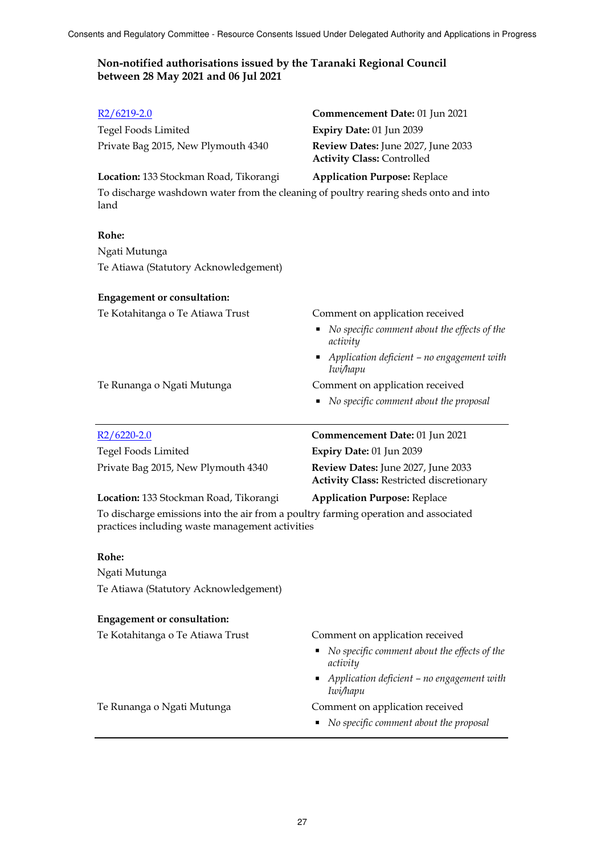| $R2/6219 - 2.0$                                                                                                                        | <b>Commencement Date: 01 Jun 2021</b>                                                 |  |
|----------------------------------------------------------------------------------------------------------------------------------------|---------------------------------------------------------------------------------------|--|
| Tegel Foods Limited                                                                                                                    | Expiry Date: 01 Jun 2039                                                              |  |
| Private Bag 2015, New Plymouth 4340                                                                                                    | Review Dates: June 2027, June 2033<br><b>Activity Class: Controlled</b>               |  |
| Location: 133 Stockman Road, Tikorangi                                                                                                 | <b>Application Purpose: Replace</b>                                                   |  |
| To discharge washdown water from the cleaning of poultry rearing sheds onto and into<br>land                                           |                                                                                       |  |
| Rohe:                                                                                                                                  |                                                                                       |  |
| Ngati Mutunga                                                                                                                          |                                                                                       |  |
| Te Atiawa (Statutory Acknowledgement)                                                                                                  |                                                                                       |  |
| <b>Engagement or consultation:</b>                                                                                                     |                                                                                       |  |
| Te Kotahitanga o Te Atiawa Trust                                                                                                       | Comment on application received                                                       |  |
|                                                                                                                                        | No specific comment about the effects of the<br>activity                              |  |
|                                                                                                                                        | Application deficient - no engagement with<br>ш<br>Iwi/hapu                           |  |
| Te Runanga o Ngati Mutunga                                                                                                             | Comment on application received                                                       |  |
|                                                                                                                                        | No specific comment about the proposal                                                |  |
| $R2/6220-2.0$                                                                                                                          | Commencement Date: 01 Jun 2021                                                        |  |
| Tegel Foods Limited                                                                                                                    | Expiry Date: 01 Jun 2039                                                              |  |
| Private Bag 2015, New Plymouth 4340                                                                                                    | Review Dates: June 2027, June 2033<br><b>Activity Class: Restricted discretionary</b> |  |
| Location: 133 Stockman Road, Tikorangi                                                                                                 | <b>Application Purpose: Replace</b>                                                   |  |
| To discharge emissions into the air from a poultry farming operation and associated<br>practices including waste management activities |                                                                                       |  |
| Rohe:                                                                                                                                  |                                                                                       |  |
| Ngati Mutunga                                                                                                                          |                                                                                       |  |
| Te Atiawa (Statutory Acknowledgement)                                                                                                  |                                                                                       |  |
| <b>Engagement or consultation:</b>                                                                                                     |                                                                                       |  |
| Te Kotahitanga o Te Atiawa Trust                                                                                                       | Comment on application received                                                       |  |
|                                                                                                                                        | No specific comment about the effects of the<br>activity                              |  |
|                                                                                                                                        | Application deficient - no engagement with<br>Iwi/hapu                                |  |
| Te Runanga o Ngati Mutunga                                                                                                             | Comment on application received<br>No specific comment about the proposal<br>٠        |  |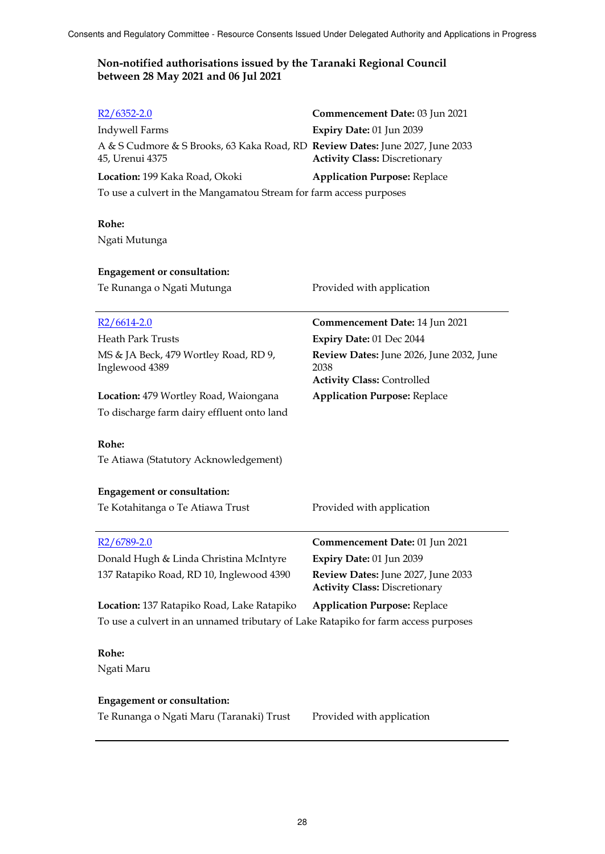| $R2/6352 - 2.0$                                                                                  | Commencement Date: 03 Jun 2021                   |
|--------------------------------------------------------------------------------------------------|--------------------------------------------------|
| Indywell Farms                                                                                   | Expiry Date: 01 Jun 2039                         |
| A & S Cudmore & S Brooks, 63 Kaka Road, RD Review Dates: June 2027, June 2033<br>45, Urenui 4375 | <b>Activity Class: Discretionary</b>             |
| Location: 199 Kaka Road, Okoki                                                                   | <b>Application Purpose: Replace</b>              |
| To use a culvert in the Mangamatou Stream for farm access purposes                               |                                                  |
|                                                                                                  |                                                  |
| Rohe:                                                                                            |                                                  |
| Ngati Mutunga                                                                                    |                                                  |
|                                                                                                  |                                                  |
| <b>Engagement or consultation:</b>                                                               |                                                  |
| Te Runanga o Ngati Mutunga                                                                       | Provided with application                        |
|                                                                                                  | Commencement Date: 14 Jun 2021                   |
| $R2/6614-2.0$<br><b>Heath Park Trusts</b>                                                        |                                                  |
|                                                                                                  | Expiry Date: 01 Dec 2044                         |
| MS & JA Beck, 479 Wortley Road, RD 9,<br>Inglewood 4389                                          | Review Dates: June 2026, June 2032, June<br>2038 |
|                                                                                                  | <b>Activity Class: Controlled</b>                |
| Location: 479 Wortley Road, Waiongana                                                            | <b>Application Purpose: Replace</b>              |
| To discharge farm dairy effluent onto land                                                       |                                                  |
|                                                                                                  |                                                  |
| Rohe:                                                                                            |                                                  |
| Te Atiawa (Statutory Acknowledgement)                                                            |                                                  |
|                                                                                                  |                                                  |
| <b>Engagement or consultation:</b>                                                               |                                                  |
| Te Kotahitanga o Te Atiawa Trust                                                                 | Provided with application                        |
| R <sub>2</sub> /6789-2.0                                                                         | Commencement Date: 01 Jun 2021                   |
| Donald Hugh & Linda Christina McIntyre                                                           | Expiry Date: 01 Jun 2039                         |
|                                                                                                  | Review Dates: June 2027, June 2033               |
| 137 Ratapiko Road, RD 10, Inglewood 4390                                                         | <b>Activity Class: Discretionary</b>             |
| Location: 137 Ratapiko Road, Lake Ratapiko                                                       | <b>Application Purpose: Replace</b>              |
| To use a culvert in an unnamed tributary of Lake Ratapiko for farm access purposes               |                                                  |
|                                                                                                  |                                                  |
| Rohe:                                                                                            |                                                  |
| Ngati Maru                                                                                       |                                                  |
| <b>Engagement or consultation:</b>                                                               |                                                  |
|                                                                                                  |                                                  |
| Te Runanga o Ngati Maru (Taranaki) Trust                                                         | Provided with application                        |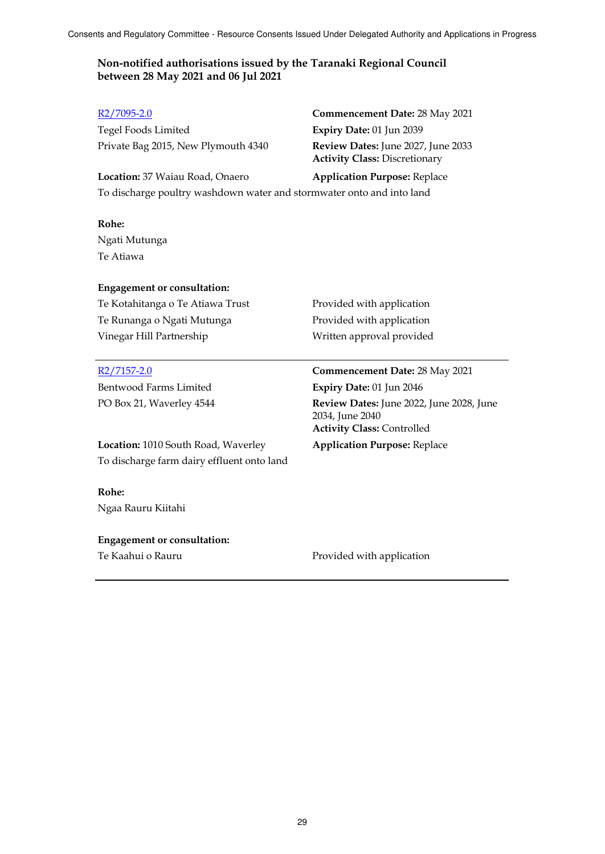Tegel Foods Limited **Expiry Date:** 01 Jun 2039 Private Bag 2015, New Plymouth 4340 **Review Dates:** June 2027, June 2033

R2/7095-2.0 **Commencement Date:** 28 May 2021 **Activity Class:** Discretionary

**Location:** 37 Waiau Road, Onaero **Application Purpose:** Replace To discharge poultry washdown water and stormwater onto and into land

#### **Rohe:**

Ngati Mutunga Te Atiawa

#### **Engagement or consultation:**

Te Kotahitanga o Te Atiawa Trust Provided with application Te Runanga o Ngati Mutunga Provided with application Vinegar Hill Partnership Written approval provided

### R2/7157-2.0 **Commencement Date:** 28 May 2021

Bentwood Farms Limited **Expiry Date:** 01 Jun 2046

PO Box 21, Waverley 4544 **Review Dates:** June 2022, June 2028, June 2034, June 2040 **Activity Class:** Controlled

**Location:** 1010 South Road, Waverley **Application Purpose:** Replace To discharge farm dairy effluent onto land

#### **Rohe:**

Ngaa Rauru Kiitahi

### **Engagement or consultation:**

Te Kaahui o Rauru **Provided with application**